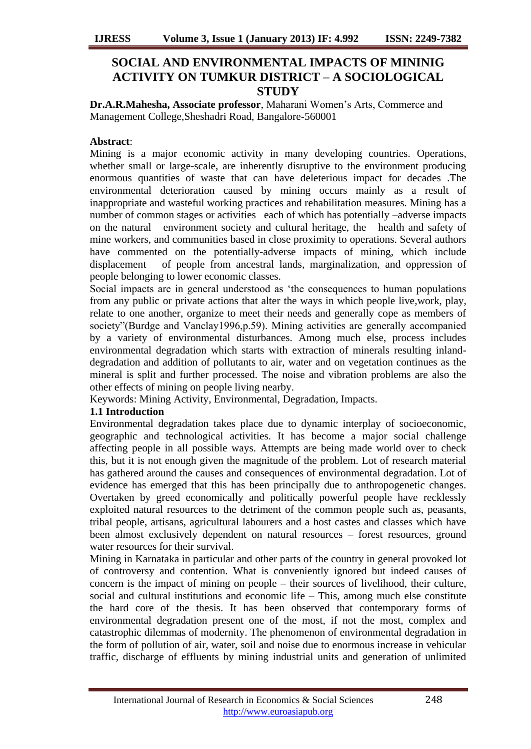# **SOCIAL AND ENVIRONMENTAL IMPACTS OF MININIG ACTIVITY ON TUMKUR DISTRICT – A SOCIOLOGICAL STUDY**

**Dr.A.R.Mahesha, Associate professor**, Maharani Women"s Arts, Commerce and Management College,Sheshadri Road, Bangalore-560001

# **Abstract**:

Mining is a major economic activity in many developing countries. Operations, whether small or large-scale, are inherently disruptive to the environment producing enormous quantities of waste that can have deleterious impact for decades .The environmental deterioration caused by mining occurs mainly as a result of inappropriate and wasteful working practices and rehabilitation measures. Mining has a number of common stages or activities each of which has potentially –adverse impacts on the natural environment society and cultural heritage, the health and safety of mine workers, and communities based in close proximity to operations. Several authors have commented on the potentially-adverse impacts of mining, which include displacement of people from ancestral lands, marginalization, and oppression of people belonging to lower economic classes.

Social impacts are in general understood as "the consequences to human populations from any public or private actions that alter the ways in which people live,work, play, relate to one another, organize to meet their needs and generally cope as members of society"(Burdge and Vanclay1996,p.59). Mining activities are generally accompanied by a variety of environmental disturbances. Among much else, process includes environmental degradation which starts with extraction of minerals resulting inlanddegradation and addition of pollutants to air, water and on vegetation continues as the mineral is split and further processed. The noise and vibration problems are also the other effects of mining on people living nearby.

Keywords: Mining Activity, Environmental, Degradation, Impacts.

# **1.1 Introduction**

Environmental degradation takes place due to dynamic interplay of socioeconomic, geographic and technological activities. It has become a major social challenge affecting people in all possible ways. Attempts are being made world over to check this, but it is not enough given the magnitude of the problem. Lot of research material has gathered around the causes and consequences of environmental degradation. Lot of evidence has emerged that this has been principally due to anthropogenetic changes. Overtaken by greed economically and politically powerful people have recklessly exploited natural resources to the detriment of the common people such as, peasants, tribal people, artisans, agricultural labourers and a host castes and classes which have been almost exclusively dependent on natural resources – forest resources, ground water resources for their survival.

Mining in Karnataka in particular and other parts of the country in general provoked lot of controversy and contention. What is conveniently ignored but indeed causes of concern is the impact of mining on people – their sources of livelihood, their culture, social and cultural institutions and economic life – This, among much else constitute the hard core of the thesis. It has been observed that contemporary forms of environmental degradation present one of the most, if not the most, complex and catastrophic dilemmas of modernity. The phenomenon of environmental degradation in the form of pollution of air, water, soil and noise due to enormous increase in vehicular traffic, discharge of effluents by mining industrial units and generation of unlimited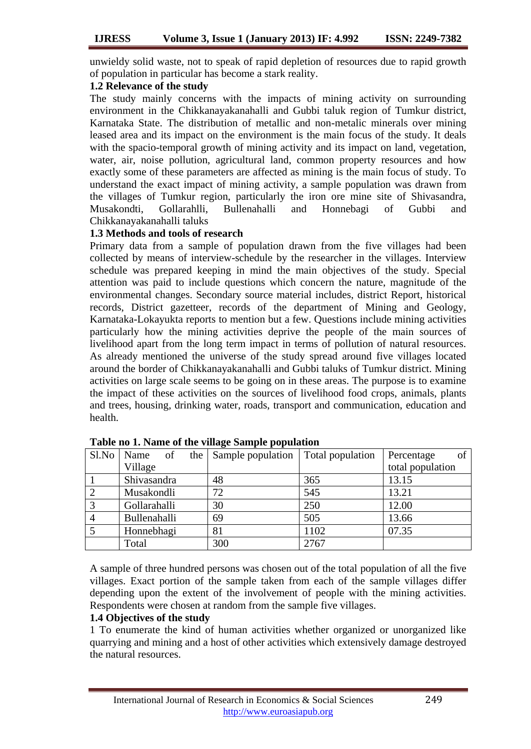unwieldy solid waste, not to speak of rapid depletion of resources due to rapid growth of population in particular has become a stark reality.

## **1.2 Relevance of the study**

The study mainly concerns with the impacts of mining activity on surrounding environment in the Chikkanayakanahalli and Gubbi taluk region of Tumkur district, Karnataka State. The distribution of metallic and non-metalic minerals over mining leased area and its impact on the environment is the main focus of the study. It deals with the spacio-temporal growth of mining activity and its impact on land, vegetation, water, air, noise pollution, agricultural land, common property resources and how exactly some of these parameters are affected as mining is the main focus of study. To understand the exact impact of mining activity, a sample population was drawn from the villages of Tumkur region, particularly the iron ore mine site of Shivasandra, Musakondti, Gollarahlli, Bullenahalli and Honnebagi of Gubbi and Chikkanayakanahalli taluks

## **1.3 Methods and tools of research**

Primary data from a sample of population drawn from the five villages had been collected by means of interview-schedule by the researcher in the villages. Interview schedule was prepared keeping in mind the main objectives of the study. Special attention was paid to include questions which concern the nature, magnitude of the environmental changes. Secondary source material includes, district Report, historical records, District gazetteer, records of the department of Mining and Geology, Karnataka-Lokayukta reports to mention but a few. Questions include mining activities particularly how the mining activities deprive the people of the main sources of livelihood apart from the long term impact in terms of pollution of natural resources. As already mentioned the universe of the study spread around five villages located around the border of Chikkanayakanahalli and Gubbi taluks of Tumkur district. Mining activities on large scale seems to be going on in these areas. The purpose is to examine the impact of these activities on the sources of livelihood food crops, animals, plants and trees, housing, drinking water, roads, transport and communication, education and health.

| Sl.No          | <sub>of</sub><br>Name | the | Sample population | Total population | of<br>Percentage |
|----------------|-----------------------|-----|-------------------|------------------|------------------|
|                | Village               |     |                   |                  | total population |
|                | Shivasandra           |     | 48                | 365              | 13.15            |
|                | Musakondli            |     | 72                | 545              | 13.21            |
| 3              | Gollarahalli          |     | 30                | 250              | 12.00            |
| $\overline{4}$ | Bullenahalli          |     | 69                | 505              | 13.66            |
|                | Honnebhagi            |     | 81                | 1102             | 07.35            |
|                | Total                 |     | 300               | 2767             |                  |

**Table no 1. Name of the village Sample population**

A sample of three hundred persons was chosen out of the total population of all the five villages. Exact portion of the sample taken from each of the sample villages differ depending upon the extent of the involvement of people with the mining activities. Respondents were chosen at random from the sample five villages.

### **1.4 Objectives of the study**

1 To enumerate the kind of human activities whether organized or unorganized like quarrying and mining and a host of other activities which extensively damage destroyed the natural resources.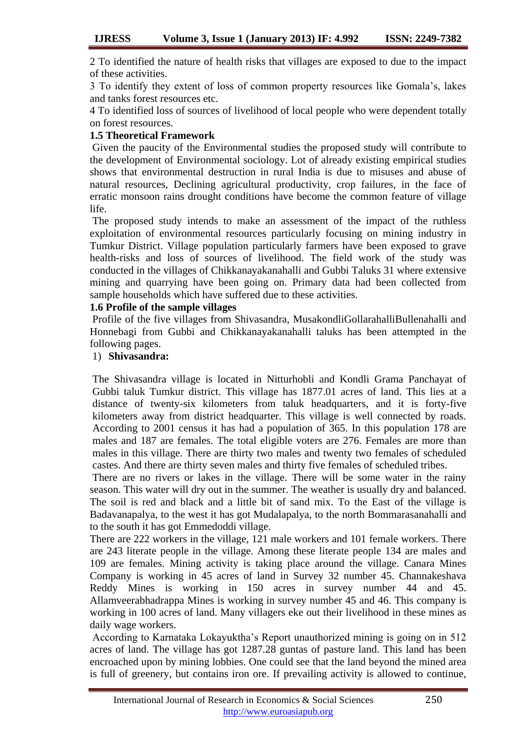2 To identified the nature of health risks that villages are exposed to due to the impact of these activities.

3 To identify they extent of loss of common property resources like Gomala"s, lakes and tanks forest resources etc.

4 To identified loss of sources of livelihood of local people who were dependent totally on forest resources.

## **1.5 Theoretical Framework**

Given the paucity of the Environmental studies the proposed study will contribute to the development of Environmental sociology. Lot of already existing empirical studies shows that environmental destruction in rural India is due to misuses and abuse of natural resources, Declining agricultural productivity, crop failures, in the face of erratic monsoon rains drought conditions have become the common feature of village life.

The proposed study intends to make an assessment of the impact of the ruthless exploitation of environmental resources particularly focusing on mining industry in Tumkur District. Village population particularly farmers have been exposed to grave health-risks and loss of sources of livelihood. The field work of the study was conducted in the villages of Chikkanayakanahalli and Gubbi Taluks 31 where extensive mining and quarrying have been going on. Primary data had been collected from sample households which have suffered due to these activities.

## **1.6 Profile of the sample villages**

Profile of the five villages from Shivasandra, MusakondliGollarahalliBullenahalli and Honnebagi from Gubbi and Chikkanayakanahalli taluks has been attempted in the following pages.

# 1) **Shivasandra:**

The Shivasandra village is located in Nitturhobli and Kondli Grama Panchayat of Gubbi taluk Tumkur district. This village has 1877.01 acres of land. This lies at a distance of twenty-six kilometers from taluk headquarters, and it is forty-five kilometers away from district headquarter. This village is well connected by roads. According to 2001 census it has had a population of 365. In this population 178 are males and 187 are females. The total eligible voters are 276. Females are more than males in this village. There are thirty two males and twenty two females of scheduled castes. And there are thirty seven males and thirty five females of scheduled tribes.

There are no rivers or lakes in the village. There will be some water in the rainy season. This water will dry out in the summer. The weather is usually dry and balanced. The soil is red and black and a little bit of sand mix. To the East of the village is Badavanapalya, to the west it has got Mudalapalya, to the north Bommarasanahalli and to the south it has got Emmedoddi village.

There are 222 workers in the village, 121 male workers and 101 female workers. There are 243 literate people in the village. Among these literate people 134 are males and 109 are females. Mining activity is taking place around the village. Canara Mines Company is working in 45 acres of land in Survey 32 number 45. Channakeshava Reddy Mines is working in 150 acres in survey number 44 and 45. Allamveerabhadrappa Mines is working in survey number 45 and 46. This company is working in 100 acres of land. Many villagers eke out their livelihood in these mines as daily wage workers.

According to Karnataka Lokayuktha"s Report unauthorized mining is going on in 512 acres of land. The village has got 1287.28 guntas of pasture land. This land has been encroached upon by mining lobbies. One could see that the land beyond the mined area is full of greenery, but contains iron ore. If prevailing activity is allowed to continue,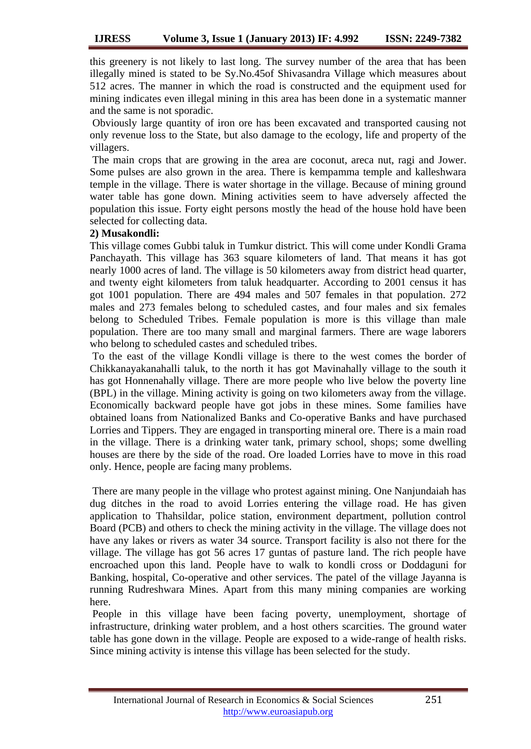this greenery is not likely to last long. The survey number of the area that has been illegally mined is stated to be Sy.No.45of Shivasandra Village which measures about 512 acres. The manner in which the road is constructed and the equipment used for mining indicates even illegal mining in this area has been done in a systematic manner and the same is not sporadic.

Obviously large quantity of iron ore has been excavated and transported causing not only revenue loss to the State, but also damage to the ecology, life and property of the villagers.

The main crops that are growing in the area are coconut, areca nut, ragi and Jower. Some pulses are also grown in the area. There is kempamma temple and kalleshwara temple in the village. There is water shortage in the village. Because of mining ground water table has gone down. Mining activities seem to have adversely affected the population this issue. Forty eight persons mostly the head of the house hold have been selected for collecting data.

## **2) Musakondli:**

This village comes Gubbi taluk in Tumkur district. This will come under Kondli Grama Panchayath. This village has 363 square kilometers of land. That means it has got nearly 1000 acres of land. The village is 50 kilometers away from district head quarter, and twenty eight kilometers from taluk headquarter. According to 2001 census it has got 1001 population. There are 494 males and 507 females in that population. 272 males and 273 females belong to scheduled castes, and four males and six females belong to Scheduled Tribes. Female population is more is this village than male population. There are too many small and marginal farmers. There are wage laborers who belong to scheduled castes and scheduled tribes.

To the east of the village Kondli village is there to the west comes the border of Chikkanayakanahalli taluk, to the north it has got Mavinahally village to the south it has got Honnenahally village. There are more people who live below the poverty line (BPL) in the village. Mining activity is going on two kilometers away from the village. Economically backward people have got jobs in these mines. Some families have obtained loans from Nationalized Banks and Co-operative Banks and have purchased Lorries and Tippers. They are engaged in transporting mineral ore. There is a main road in the village. There is a drinking water tank, primary school, shops; some dwelling houses are there by the side of the road. Ore loaded Lorries have to move in this road only. Hence, people are facing many problems.

There are many people in the village who protest against mining. One Nanjundaiah has dug ditches in the road to avoid Lorries entering the village road. He has given application to Thahsildar, police station, environment department, pollution control Board (PCB) and others to check the mining activity in the village. The village does not have any lakes or rivers as water 34 source. Transport facility is also not there for the village. The village has got 56 acres 17 guntas of pasture land. The rich people have encroached upon this land. People have to walk to kondli cross or Doddaguni for Banking, hospital, Co-operative and other services. The patel of the village Jayanna is running Rudreshwara Mines. Apart from this many mining companies are working here.

People in this village have been facing poverty, unemployment, shortage of infrastructure, drinking water problem, and a host others scarcities. The ground water table has gone down in the village. People are exposed to a wide-range of health risks. Since mining activity is intense this village has been selected for the study.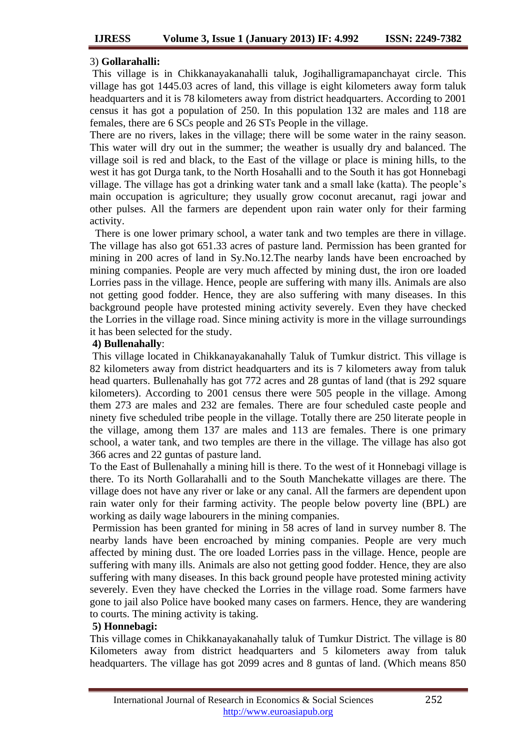### 3) **Gollarahalli:**

This village is in Chikkanayakanahalli taluk, Jogihalligramapanchayat circle. This village has got 1445.03 acres of land, this village is eight kilometers away form taluk headquarters and it is 78 kilometers away from district headquarters. According to 2001 census it has got a population of 250. In this population 132 are males and 118 are females, there are 6 SCs people and 26 STs People in the village.

There are no rivers, lakes in the village; there will be some water in the rainy season. This water will dry out in the summer; the weather is usually dry and balanced. The village soil is red and black, to the East of the village or place is mining hills, to the west it has got Durga tank, to the North Hosahalli and to the South it has got Honnebagi village. The village has got a drinking water tank and a small lake (katta). The people"s main occupation is agriculture; they usually grow coconut arecanut, ragi jowar and other pulses. All the farmers are dependent upon rain water only for their farming activity.

 There is one lower primary school, a water tank and two temples are there in village. The village has also got 651.33 acres of pasture land. Permission has been granted for mining in 200 acres of land in Sy.No.12.The nearby lands have been encroached by mining companies. People are very much affected by mining dust, the iron ore loaded Lorries pass in the village. Hence, people are suffering with many ills. Animals are also not getting good fodder. Hence, they are also suffering with many diseases. In this background people have protested mining activity severely. Even they have checked the Lorries in the village road. Since mining activity is more in the village surroundings it has been selected for the study.

### **4) Bullenahally**:

This village located in Chikkanayakanahally Taluk of Tumkur district. This village is 82 kilometers away from district headquarters and its is 7 kilometers away from taluk head quarters. Bullenahally has got 772 acres and 28 guntas of land (that is 292 square kilometers). According to 2001 census there were 505 people in the village. Among them 273 are males and 232 are females. There are four scheduled caste people and ninety five scheduled tribe people in the village. Totally there are 250 literate people in the village, among them 137 are males and 113 are females. There is one primary school, a water tank, and two temples are there in the village. The village has also got 366 acres and 22 guntas of pasture land.

To the East of Bullenahally a mining hill is there. To the west of it Honnebagi village is there. To its North Gollarahalli and to the South Manchekatte villages are there. The village does not have any river or lake or any canal. All the farmers are dependent upon rain water only for their farming activity. The people below poverty line (BPL) are working as daily wage labourers in the mining companies.

Permission has been granted for mining in 58 acres of land in survey number 8. The nearby lands have been encroached by mining companies. People are very much affected by mining dust. The ore loaded Lorries pass in the village. Hence, people are suffering with many ills. Animals are also not getting good fodder. Hence, they are also suffering with many diseases. In this back ground people have protested mining activity severely. Even they have checked the Lorries in the village road. Some farmers have gone to jail also Police have booked many cases on farmers. Hence, they are wandering to courts. The mining activity is taking.

### **5) Honnebagi:**

This village comes in Chikkanayakanahally taluk of Tumkur District. The village is 80 Kilometers away from district headquarters and 5 kilometers away from taluk headquarters. The village has got 2099 acres and 8 guntas of land. (Which means 850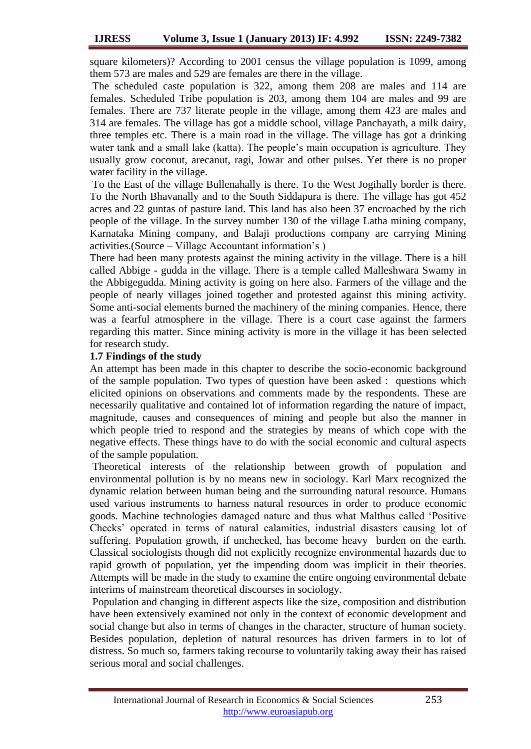square kilometers)? According to 2001 census the village population is 1099, among them 573 are males and 529 are females are there in the village.

The scheduled caste population is 322, among them 208 are males and 114 are females. Scheduled Tribe population is 203, among them 104 are males and 99 are females. There are 737 literate people in the village, among them 423 are males and 314 are females. The village has got a middle school, village Panchayath, a milk dairy, three temples etc. There is a main road in the village. The village has got a drinking water tank and a small lake (katta). The people's main occupation is agriculture. They usually grow coconut, arecanut, ragi, Jowar and other pulses. Yet there is no proper water facility in the village.

To the East of the village Bullenahally is there. To the West Jogihally border is there. To the North Bhavanally and to the South Siddapura is there. The village has got 452 acres and 22 guntas of pasture land. This land has also been 37 encroached by the rich people of the village. In the survey number 130 of the village Latha mining company, Karnataka Mining company, and Balaji productions company are carrying Mining activities.(Source – Village Accountant information"s )

There had been many protests against the mining activity in the village. There is a hill called Abbige - gudda in the village. There is a temple called Malleshwara Swamy in the Abbigegudda. Mining activity is going on here also. Farmers of the village and the people of nearly villages joined together and protested against this mining activity. Some anti-social elements burned the machinery of the mining companies. Hence, there was a fearful atmosphere in the village. There is a court case against the farmers regarding this matter. Since mining activity is more in the village it has been selected for research study.

### **1.7 Findings of the study**

An attempt has been made in this chapter to describe the socio-economic background of the sample population. Two types of question have been asked : questions which elicited opinions on observations and comments made by the respondents. These are necessarily qualitative and contained lot of information regarding the nature of impact, magnitude, causes and consequences of mining and people but also the manner in which people tried to respond and the strategies by means of which cope with the negative effects. These things have to do with the social economic and cultural aspects of the sample population.

Theoretical interests of the relationship between growth of population and environmental pollution is by no means new in sociology. Karl Marx recognized the dynamic relation between human being and the surrounding natural resource. Humans used various instruments to harness natural resources in order to produce economic goods. Machine technologies damaged nature and thus what Malthus called "Positive Checks" operated in terms of natural calamities, industrial disasters causing lot of suffering. Population growth, if unchecked, has become heavy burden on the earth. Classical sociologists though did not explicitly recognize environmental hazards due to rapid growth of population, yet the impending doom was implicit in their theories. Attempts will be made in the study to examine the entire ongoing environmental debate interims of mainstream theoretical discourses in sociology.

Population and changing in different aspects like the size, composition and distribution have been extensively examined not only in the context of economic development and social change but also in terms of changes in the character, structure of human society. Besides population, depletion of natural resources has driven farmers in to lot of distress. So much so, farmers taking recourse to voluntarily taking away their has raised serious moral and social challenges.